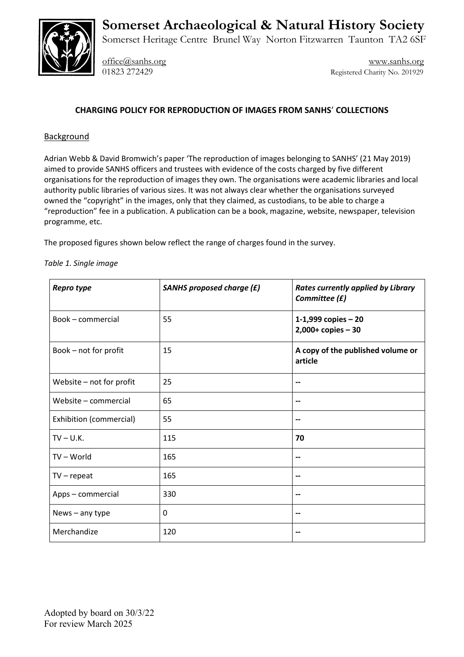



Somerset Heritage Centre Brunel Way Norton Fitzwarren Taunton TA2 6SF

[office@sanhs.org](mailto:office@sanhs.org) [www.sanhs.org](http://www.sanhs.org/) 01823 272429 Registered Charity No. 201929

## **CHARGING POLICY FOR REPRODUCTION OF IMAGES FROM SANHS**' **COLLECTIONS**

## Background

Adrian Webb & David Bromwich's paper 'The reproduction of images belonging to SANHS' (21 May 2019) aimed to provide SANHS officers and trustees with evidence of the costs charged by five different organisations for the reproduction of images they own. The organisations were academic libraries and local authority public libraries of various sizes. It was not always clear whether the organisations surveyed owned the "copyright" in the images, only that they claimed, as custodians, to be able to charge a "reproduction" fee in a publication. A publication can be a book, magazine, website, newspaper, television programme, etc.

The proposed figures shown below reflect the range of charges found in the survey.

## *Table 1. Single image*

| Repro type               | <b>SANHS proposed charge (£)</b> | <b>Rates currently applied by Library</b><br>Committee (£) |
|--------------------------|----------------------------------|------------------------------------------------------------|
| Book - commercial        | 55                               | 1-1,999 copies $-20$<br>$2,000+$ copies $-30$              |
| Book - not for profit    | 15                               | A copy of the published volume or<br>article               |
| Website - not for profit | 25                               | --                                                         |
| Website - commercial     | 65                               | --                                                         |
| Exhibition (commercial)  | 55                               | --                                                         |
| $TV - U.K.$              | 115                              | 70                                                         |
| $TV - World$             | 165                              | $\overline{\phantom{a}}$                                   |
| $TV$ – repeat            | 165                              | --                                                         |
| Apps - commercial        | 330                              | $\overline{\phantom{a}}$                                   |
| News $-$ any type        | 0                                | --                                                         |
| Merchandize              | 120                              |                                                            |